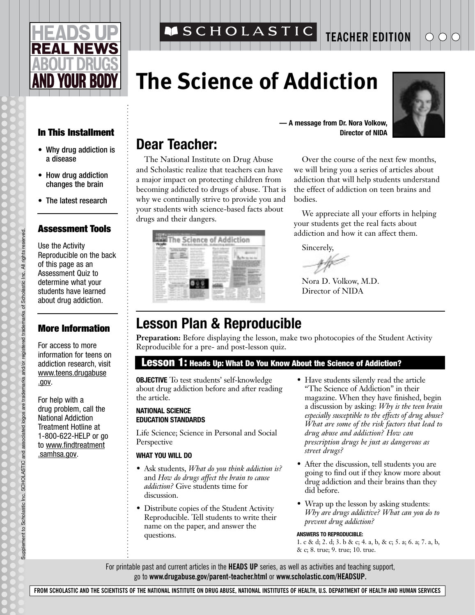# **EAL NEWS ID YOUR BO**

#### **SCHOLASTIC TEACHER EDITION**

## **The Science of Addiction**



#### **In This Installment**

- Why drug addiction is a disease
- How drug addiction changes the brain
- The latest research

#### **Assessment Tools**

Use the Activity Reproducible on the back of this page as an Assessment Quiz to determine what your students have learned about drug addiction.

#### **More Information**

For access to more information for teens on addiction research, visit www.teens.drugabuse .gov.

For help with a drug problem, call the National Addiction Treatment Hotline at 1-800-622-HELP or go to www.findtreatment .samhsa.gov.

## **Dear Teacher:**

The National Institute on Drug Abuse and Scholastic realize that teachers can have a major impact on protecting children from becoming addicted to drugs of abuse. That is why we continually strive to provide you and your students with science-based facts about drugs and their dangers.

**— A message from Dr. Nora Volkow, Director of NIDA**

Over the course of the next few months, we will bring you a series of articles about addiction that will help students understand the effect of addiction on teen brains and bodies.

We appreciate all your efforts in helping your students get the real facts about addiction and how it can affect them.

Sincerely,

Nora D. Volkow, M.D. Director of NIDA

## **Lesson Plan & Reproducible**

**Preparation:** Before displaying the lesson, make two photocopies of the Student Activity Reproducible for a pre- and post-lesson quiz.

#### **Lesson 1: Heads Up: What Do You Know About the Science of Addiction?**

**OBJECTIVE** To test students' self-knowledge about drug addiction before and after reading the article.

#### **NATIONAL SCIENCE EDUCATION STANDARDS**

Life Science; Science in Personal and Social Perspective

#### **WHAT YOU WILL DO**

- Ask students, *What do you think addiction is?* and *How do drugs affect the brain to cause addiction?* Give students time for discussion.
- Distribute copies of the Student Activity Reproducible. Tell students to write their name on the paper, and answer the questions.
- Have students silently read the article "The Science of Addiction" in their magazine. When they have finished, begin a discussion by asking: *Why is the teen brain especially susceptible to the effects of drug abuse? What are some of the risk factors that lead to drug abuse and addiction? How can prescription drugs be just as dangerous as street drugs?*
- After the discussion, tell students you are going to find out if they know more about drug addiction and their brains than they did before.
- Wrap up the lesson by asking students: *Why are drugs addictive? What can you do to prevent drug addiction?*

#### **ANSWERS TO REPRODUCIBLE:**

1. c & d; 2. d; 3. b & c; 4. a, b, & c; 5. a; 6. a; 7. a, b, & c; 8. true; 9. true; 10. true.

For printable past and current articles in the **HEADS UP** series, as well as activities and teaching support, go to **www.drugabuse.gov/parent-teacher.html** or **www.scholastic.com/HEADSUP.**

**FROM SCHOLASTIC AND THE SCIENTISTS OF THE NATIONAL INSTITUTE ON DRUG ABUSE, NATIONAL INSTITUTES OF HEALTH, U.S. DEPARTMENT OF HEALTH AND HUMAN SERVICES**